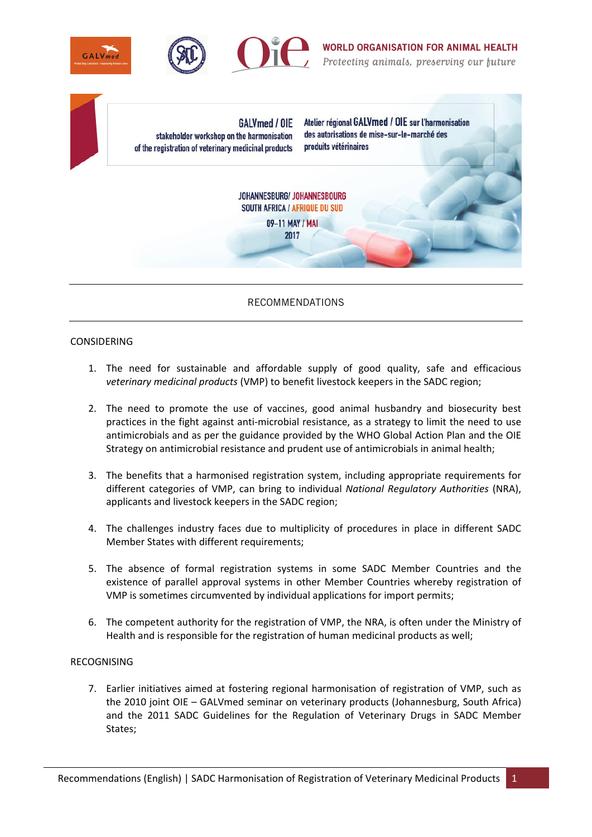

GALVmed / OIE stakeholder workshop on the harmonisation of the registration of veterinary medicinal products

Atelier régional GALVmed / OIE sur l'harmonisation des autorisations de mise-sur-le-marché des produits vétérinaires

JOHANNESBURG/ JOHANNESBOURG SOUTH AFRICA / AFRIQUE DU SUD 09-11 MAY / MAI

2017

## RECOMMENDATIONS

## CONSIDERING

- 1. The need for sustainable and affordable supply of good quality, safe and efficacious *veterinary medicinal products* (VMP) to benefit livestock keepers in the SADC region;
- 2. The need to promote the use of vaccines, good animal husbandry and biosecurity best practices in the fight against anti-microbial resistance, as a strategy to limit the need to use antimicrobials and as per the guidance provided by the WHO Global Action Plan and the OIE Strategy on antimicrobial resistance and prudent use of antimicrobials in animal health;
- 3. The benefits that a harmonised registration system, including appropriate requirements for different categories of VMP, can bring to individual *National Regulatory Authorities* (NRA), applicants and livestock keepers in the SADC region;
- 4. The challenges industry faces due to multiplicity of procedures in place in different SADC Member States with different requirements;
- 5. The absence of formal registration systems in some SADC Member Countries and the existence of parallel approval systems in other Member Countries whereby registration of VMP is sometimes circumvented by individual applications for import permits;
- 6. The competent authority for the registration of VMP, the NRA, is often under the Ministry of Health and is responsible for the registration of human medicinal products as well;

## RECOGNISING

7. Earlier initiatives aimed at fostering regional harmonisation of registration of VMP, such as the 2010 joint OIE – GALVmed seminar on veterinary products (Johannesburg, South Africa) and the 2011 SADC Guidelines for the Regulation of Veterinary Drugs in SADC Member States;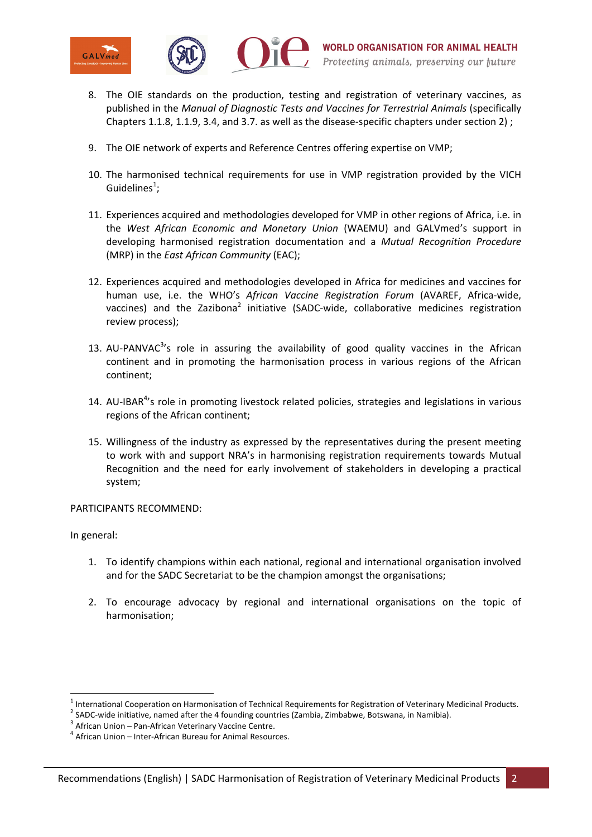



- 8. The OIE standards on the production, testing and registration of veterinary vaccines, as published in the *Manual of Diagnostic Tests and Vaccines for Terrestrial Animals* (specifically Chapters 1.1.8, 1.1.9, 3.4, and 3.7. as well as the disease-specific chapters under section 2) ;
- 9. The OIE network of experts and Reference Centres offering expertise on VMP;
- 10. The harmonised technical requirements for use in VMP registration provided by the VICH Guidelines<sup>1</sup>;
- 11. Experiences acquired and methodologies developed for VMP in other regions of Africa, i.e. in the *West African Economic and Monetary Union* (WAEMU) and GALVmed's support in developing harmonised registration documentation and a *Mutual Recognition Procedure*  (MRP) in the *East African Community* (EAC);
- 12. Experiences acquired and methodologies developed in Africa for medicines and vaccines for human use, i.e. the WHO's *African Vaccine Registration Forum* (AVAREF, Africa-wide, vaccines) and the Zazibona<sup>2</sup> initiative (SADC-wide, collaborative medicines registration review process);
- 13. AU-PANVAC $3$ 's role in assuring the availability of good quality vaccines in the African continent and in promoting the harmonisation process in various regions of the African continent;
- 14. AU-IBAR<sup>4</sup>'s role in promoting livestock related policies, strategies and legislations in various regions of the African continent;
- 15. Willingness of the industry as expressed by the representatives during the present meeting to work with and support NRA's in harmonising registration requirements towards Mutual Recognition and the need for early involvement of stakeholders in developing a practical system;

PARTICIPANTS RECOMMEND:

In general:

**.** 

- 1. To identify champions within each national, regional and international organisation involved and for the SADC Secretariat to be the champion amongst the organisations;
- 2. To encourage advocacy by regional and international organisations on the topic of harmonisation;

<sup>&</sup>lt;sup>1</sup> International Cooperation on Harmonisation of Technical Requirements for Registration of Veterinary Medicinal Products.<br><sup>2</sup> SADC wide initiative, named ofter the 4 founding countries (Zambia, Zimbohuve, Betaurane, in

<sup>&</sup>lt;sup>2</sup> SADC-wide initiative, named after the 4 founding countries (Zambia, Zimbabwe, Botswana, in Namibia).

 $3$  African Union – Pan-African Veterinary Vaccine Centre.

 $4$  African Union – Inter-African Bureau for Animal Resources.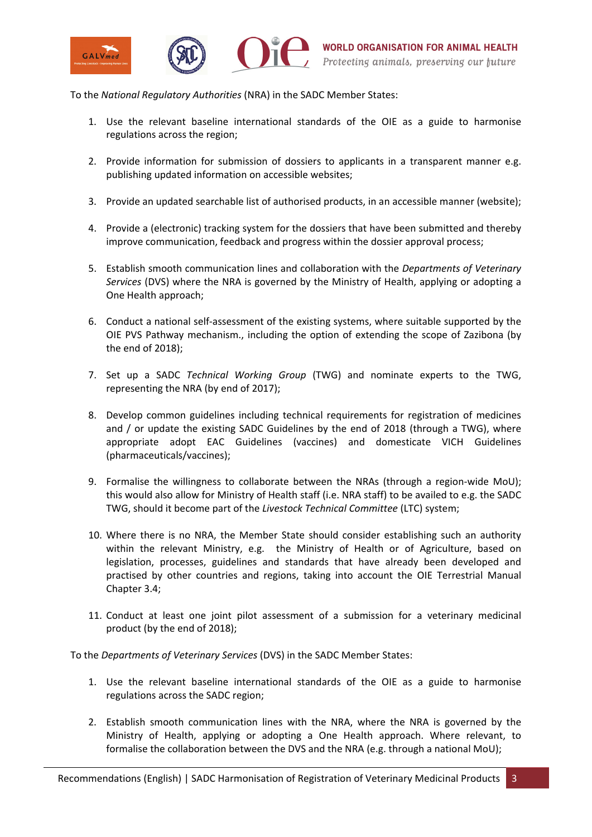

To the *National Regulatory Authorities* (NRA) in the SADC Member States:

- 1. Use the relevant baseline international standards of the OIE as a guide to harmonise regulations across the region;
- 2. Provide information for submission of dossiers to applicants in a transparent manner e.g. publishing updated information on accessible websites;
- 3. Provide an updated searchable list of authorised products, in an accessible manner (website);
- 4. Provide a (electronic) tracking system for the dossiers that have been submitted and thereby improve communication, feedback and progress within the dossier approval process;
- 5. Establish smooth communication lines and collaboration with the *Departments of Veterinary Services* (DVS) where the NRA is governed by the Ministry of Health, applying or adopting a One Health approach;
- 6. Conduct a national self-assessment of the existing systems, where suitable supported by the OIE PVS Pathway mechanism., including the option of extending the scope of Zazibona (by the end of 2018);
- 7. Set up a SADC *Technical Working Group* (TWG) and nominate experts to the TWG, representing the NRA (by end of 2017);
- 8. Develop common guidelines including technical requirements for registration of medicines and / or update the existing SADC Guidelines by the end of 2018 (through a TWG), where appropriate adopt EAC Guidelines (vaccines) and domesticate VICH Guidelines (pharmaceuticals/vaccines);
- 9. Formalise the willingness to collaborate between the NRAs (through a region-wide MoU); this would also allow for Ministry of Health staff (i.e. NRA staff) to be availed to e.g. the SADC TWG, should it become part of the *Livestock Technical Committee* (LTC) system;
- 10. Where there is no NRA, the Member State should consider establishing such an authority within the relevant Ministry, e.g. the Ministry of Health or of Agriculture, based on legislation, processes, guidelines and standards that have already been developed and practised by other countries and regions, taking into account the OIE Terrestrial Manual Chapter 3.4;
- 11. Conduct at least one joint pilot assessment of a submission for a veterinary medicinal product (by the end of 2018);

To the *Departments of Veterinary Services* (DVS) in the SADC Member States:

- 1. Use the relevant baseline international standards of the OIE as a guide to harmonise regulations across the SADC region;
- 2. Establish smooth communication lines with the NRA, where the NRA is governed by the Ministry of Health, applying or adopting a One Health approach. Where relevant, to formalise the collaboration between the DVS and the NRA (e.g. through a national MoU);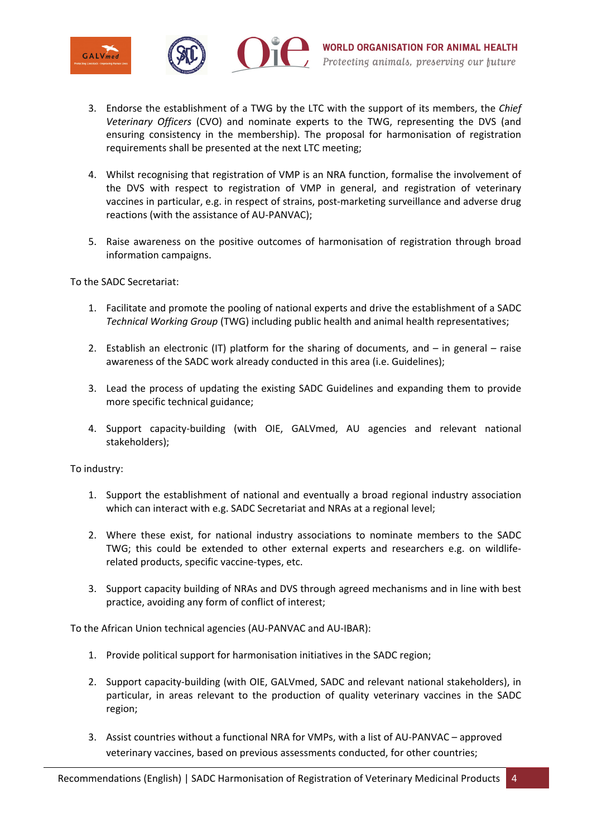

- 3. Endorse the establishment of a TWG by the LTC with the support of its members, the *Chief Veterinary Officers* (CVO) and nominate experts to the TWG, representing the DVS (and ensuring consistency in the membership). The proposal for harmonisation of registration requirements shall be presented at the next LTC meeting;
- 4. Whilst recognising that registration of VMP is an NRA function, formalise the involvement of the DVS with respect to registration of VMP in general, and registration of veterinary vaccines in particular, e.g. in respect of strains, post-marketing surveillance and adverse drug reactions (with the assistance of AU-PANVAC);
- 5. Raise awareness on the positive outcomes of harmonisation of registration through broad information campaigns.

To the SADC Secretariat:

- 1. Facilitate and promote the pooling of national experts and drive the establishment of a SADC *Technical Working Group* (TWG) including public health and animal health representatives;
- 2. Establish an electronic (IT) platform for the sharing of documents, and  $-$  in general  $-$  raise awareness of the SADC work already conducted in this area (i.e. Guidelines);
- 3. Lead the process of updating the existing SADC Guidelines and expanding them to provide more specific technical guidance;
- 4. Support capacity-building (with OIE, GALVmed, AU agencies and relevant national stakeholders);

To industry:

- 1. Support the establishment of national and eventually a broad regional industry association which can interact with e.g. SADC Secretariat and NRAs at a regional level;
- 2. Where these exist, for national industry associations to nominate members to the SADC TWG; this could be extended to other external experts and researchers e.g. on wildliferelated products, specific vaccine-types, etc.
- 3. Support capacity building of NRAs and DVS through agreed mechanisms and in line with best practice, avoiding any form of conflict of interest;

To the African Union technical agencies (AU-PANVAC and AU-IBAR):

- 1. Provide political support for harmonisation initiatives in the SADC region;
- 2. Support capacity-building (with OIE, GALVmed, SADC and relevant national stakeholders), in particular, in areas relevant to the production of quality veterinary vaccines in the SADC region;
- 3. Assist countries without a functional NRA for VMPs, with a list of AU-PANVAC approved veterinary vaccines, based on previous assessments conducted, for other countries;